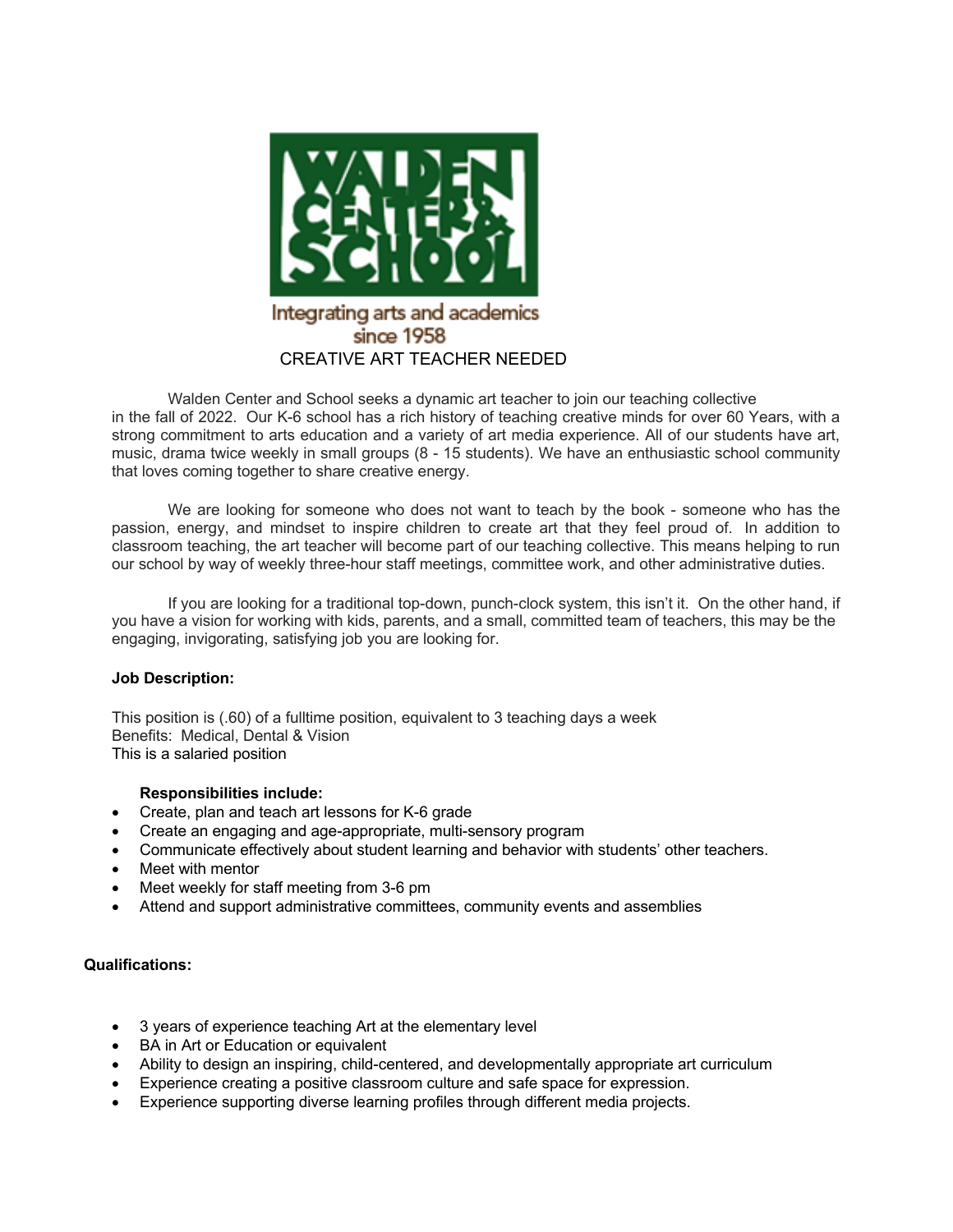

Walden Center and School seeks a dynamic art teacher to join our teaching collective in the fall of 2022. Our K-6 school has a rich history of teaching creative minds for over 60 Years, with a strong commitment to arts education and a variety of art media experience. All of our students have art, music, drama twice weekly in small groups (8 - 15 students). We have an enthusiastic school community that loves coming together to share creative energy.

We are looking for someone who does not want to teach by the book - someone who has the passion, energy, and mindset to inspire children to create art that they feel proud of. In addition to classroom teaching, the art teacher will become part of our teaching collective. This means helping to run our school by way of weekly three-hour staff meetings, committee work, and other administrative duties.

If you are looking for a traditional top-down, punch-clock system, this isn't it. On the other hand, if you have a vision for working with kids, parents, and a small, committed team of teachers, this may be the engaging, invigorating, satisfying job you are looking for.

## **Job Description:**

This position is (.60) of a fulltime position, equivalent to 3 teaching days a week Benefits: Medical, Dental & Vision This is a salaried position

## **Responsibilities include:**

- Create, plan and teach art lessons for K-6 grade
- Create an engaging and age-appropriate, multi-sensory program
- Communicate effectively about student learning and behavior with students' other teachers.
- Meet with mentor
- Meet weekly for staff meeting from 3-6 pm
- Attend and support administrative committees, community events and assemblies

## **Qualifications:**

- 3 years of experience teaching Art at the elementary level
- BA in Art or Education or equivalent
- Ability to design an inspiring, child-centered, and developmentally appropriate art curriculum
- Experience creating a positive classroom culture and safe space for expression.
- Experience supporting diverse learning profiles through different media projects.